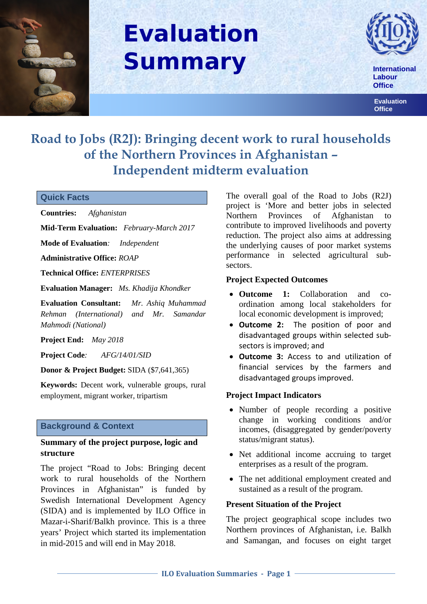

# **Evaluation Summary**



 **Labour Office**

 **Evaluation Office**

## **Road to Jobs (R2J): Bringing decent work to rural households of the Northern Provinces in Afghanistan – Independent midterm evaluation**

#### **Quick Facts**

**Countries:** *Afghanistan* 

**Mid-Term Evaluation:** *February-March 2017* 

**Mode of Evaluation***: Independent*

**Administrative Office:** *ROAP*

**Technical Office:** *ENTERPRISES*

**Evaluation Manager:** *Ms. Khadija Khondker*

**Evaluation Consultant:** *Mr. Ashiq Muhammad Rehman (International) and Mr. Samandar Mahmodi (National)*

**Project End:** *May 2018* 

**Project Code***: AFG/14/01/SID* 

**Donor & Project Budget:** SIDA (\$7,641,365)

**Keywords:** Decent work, vulnerable groups, rural employment, migrant worker, tripartism

#### **Background & Context**

#### **Summary of the project purpose, logic and structure**

The project "Road to Jobs: Bringing decent work to rural households of the Northern Provinces in Afghanistan" is funded by Swedish International Development Agency (SIDA) and is implemented by ILO Office in Mazar-i-Sharif/Balkh province. This is a three years' Project which started its implementation in mid-2015 and will end in May 2018.

The overall goal of the Road to Jobs (R2J) project is 'More and better jobs in selected Northern Provinces of Afghanistan to contribute to improved livelihoods and poverty reduction. The project also aims at addressing the underlying causes of poor market systems performance in selected agricultural subsectors.

#### **Project Expected Outcomes**

- **Outcome 1:** Collaboration and coordination among local stakeholders for local economic development is improved;
- **Outcome 2:** The position of poor and disadvantaged groups within selected subsectors is improved; and
- **Outcome 3:** Access to and utilization of financial services by the farmers and disadvantaged groups improved.

#### **Project Impact Indicators**

- Number of people recording a positive change in working conditions and/or incomes, (disaggregated by gender/poverty status/migrant status).
- Net additional income accruing to target enterprises as a result of the program.
- The net additional employment created and sustained as a result of the program.

#### **Present Situation of the Project**

The project geographical scope includes two Northern provinces of Afghanistan, i.e. Balkh and Samangan, and focuses on eight target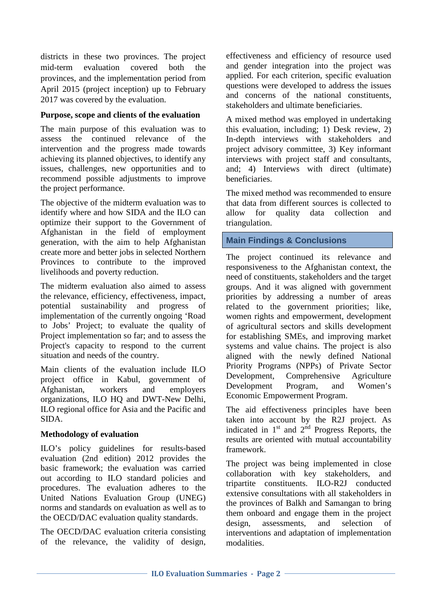districts in these two provinces. The project mid-term evaluation covered both the provinces, and the implementation period from April 2015 (project inception) up to February 2017 was covered by the evaluation.

#### **Purpose, scope and clients of the evaluation**

The main purpose of this evaluation was to assess the continued relevance of the intervention and the progress made towards achieving its planned objectives, to identify any issues, challenges, new opportunities and to recommend possible adjustments to improve the project performance.

The objective of the midterm evaluation was to identify where and how SIDA and the ILO can optimize their support to the Government of Afghanistan in the field of employment generation, with the aim to help Afghanistan create more and better jobs in selected Northern Provinces to contribute to the improved livelihoods and poverty reduction.

The midterm evaluation also aimed to assess the relevance, efficiency, effectiveness, impact, potential sustainability and progress of implementation of the currently ongoing 'Road to Jobs' Project; to evaluate the quality of Project implementation so far; and to assess the Project's capacity to respond to the current situation and needs of the country.

Main clients of the evaluation include ILO project office in Kabul, government of Afghanistan, workers and employers organizations, ILO HQ and DWT-New Delhi, ILO regional office for Asia and the Pacific and SIDA.

#### **Methodology of evaluation**

ILO's policy guidelines for results-based evaluation (2nd edition) 2012 provides the basic framework; the evaluation was carried out according to ILO standard policies and procedures. The evaluation adheres to the United Nations Evaluation Group (UNEG) norms and standards on evaluation as well as to the OECD/DAC evaluation quality standards.

The OECD/DAC evaluation criteria consisting of the relevance, the validity of design,

effectiveness and efficiency of resource used and gender integration into the project was applied. For each criterion, specific evaluation questions were developed to address the issues and concerns of the national constituents, stakeholders and ultimate beneficiaries.

A mixed method was employed in undertaking this evaluation, including; 1) Desk review, 2) In-depth interviews with stakeholders and project advisory committee, 3) Key informant interviews with project staff and consultants, and; 4) Interviews with direct (ultimate) beneficiaries.

The mixed method was recommended to ensure that data from different sources is collected to allow for quality data collection and triangulation.

#### **Main Findings & Conclusions**

The project continued its relevance and responsiveness to the Afghanistan context, the need of constituents, stakeholders and the target groups. And it was aligned with government priorities by addressing a number of areas related to the government priorities; like, women rights and empowerment, development of agricultural sectors and skills development for establishing SMEs, and improving market systems and value chains. The project is also aligned with the newly defined National Priority Programs (NPPs) of Private Sector Development, Comprehensive Agriculture Development Program, and Women's Economic Empowerment Program.

The aid effectiveness principles have been taken into account by the R2J project. As indicated in  $1<sup>st</sup>$  and  $2<sup>nd</sup>$  Progress Reports, the results are oriented with mutual accountability framework.

The project was being implemented in close collaboration with key stakeholders, and tripartite constituents. ILO-R2J conducted extensive consultations with all stakeholders in the provinces of Balkh and Samangan to bring them onboard and engage them in the project design, assessments, and selection of interventions and adaptation of implementation modalities.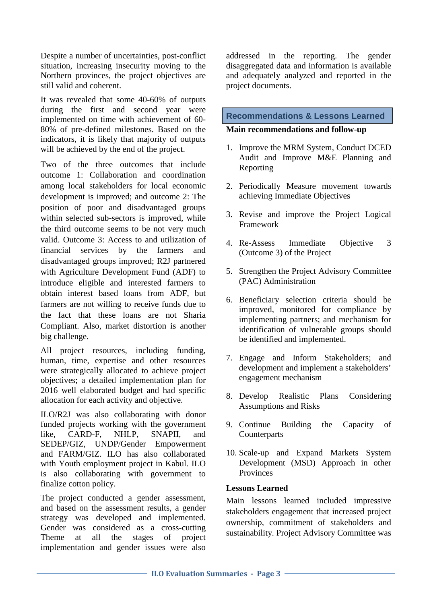Despite a number of uncertainties, post-conflict situation, increasing insecurity moving to the Northern provinces, the project objectives are still valid and coherent.

It was revealed that some 40-60% of outputs during the first and second year were implemented on time with achievement of 60- 80% of pre-defined milestones. Based on the indicators, it is likely that majority of outputs will be achieved by the end of the project.

Two of the three outcomes that include outcome 1: Collaboration and coordination among local stakeholders for local economic development is improved; and outcome 2: The position of poor and disadvantaged groups within selected sub-sectors is improved, while the third outcome seems to be not very much valid. Outcome 3: Access to and utilization of financial services by the farmers and disadvantaged groups improved; R2J partnered with Agriculture Development Fund (ADF) to introduce eligible and interested farmers to obtain interest based loans from ADF, but farmers are not willing to receive funds due to the fact that these loans are not Sharia Compliant. Also, market distortion is another big challenge.

All project resources, including funding, human, time, expertise and other resources were strategically allocated to achieve project objectives; a detailed implementation plan for 2016 well elaborated budget and had specific allocation for each activity and objective.

ILO/R2J was also collaborating with donor funded projects working with the government like, CARD-F, NHLP, SNAPII, and SEDEP/GIZ, UNDP/Gender Empowerment and FARM/GIZ. ILO has also collaborated with Youth employment project in Kabul. ILO is also collaborating with government to finalize cotton policy.

The project conducted a gender assessment, and based on the assessment results, a gender strategy was developed and implemented. Gender was considered as a cross-cutting Theme at all the stages of project implementation and gender issues were also addressed in the reporting. The gender disaggregated data and information is available and adequately analyzed and reported in the project documents.

### **Recommendations & Lessons Learned**

#### **Main recommendations and follow-up**

- 1. Improve the MRM System, Conduct DCED Audit and Improve M&E Planning and Reporting
- 2. Periodically Measure movement towards achieving Immediate Objectives
- 3. Revise and improve the Project Logical Framework
- 4. Re-Assess Immediate Objective 3 (Outcome 3) of the Project
- 5. Strengthen the Project Advisory Committee (PAC) Administration
- 6. Beneficiary selection criteria should be improved, monitored for compliance by implementing partners; and mechanism for identification of vulnerable groups should be identified and implemented.
- 7. Engage and Inform Stakeholders; and development and implement a stakeholders' engagement mechanism
- 8. Develop Realistic Plans Considering Assumptions and Risks
- 9. Continue Building the Capacity of Counterparts
- 10. Scale-up and Expand Markets System Development (MSD) Approach in other Provinces

#### **Lessons Learned**

Main lessons learned included impressive stakeholders engagement that increased project ownership, commitment of stakeholders and sustainability. Project Advisory Committee was